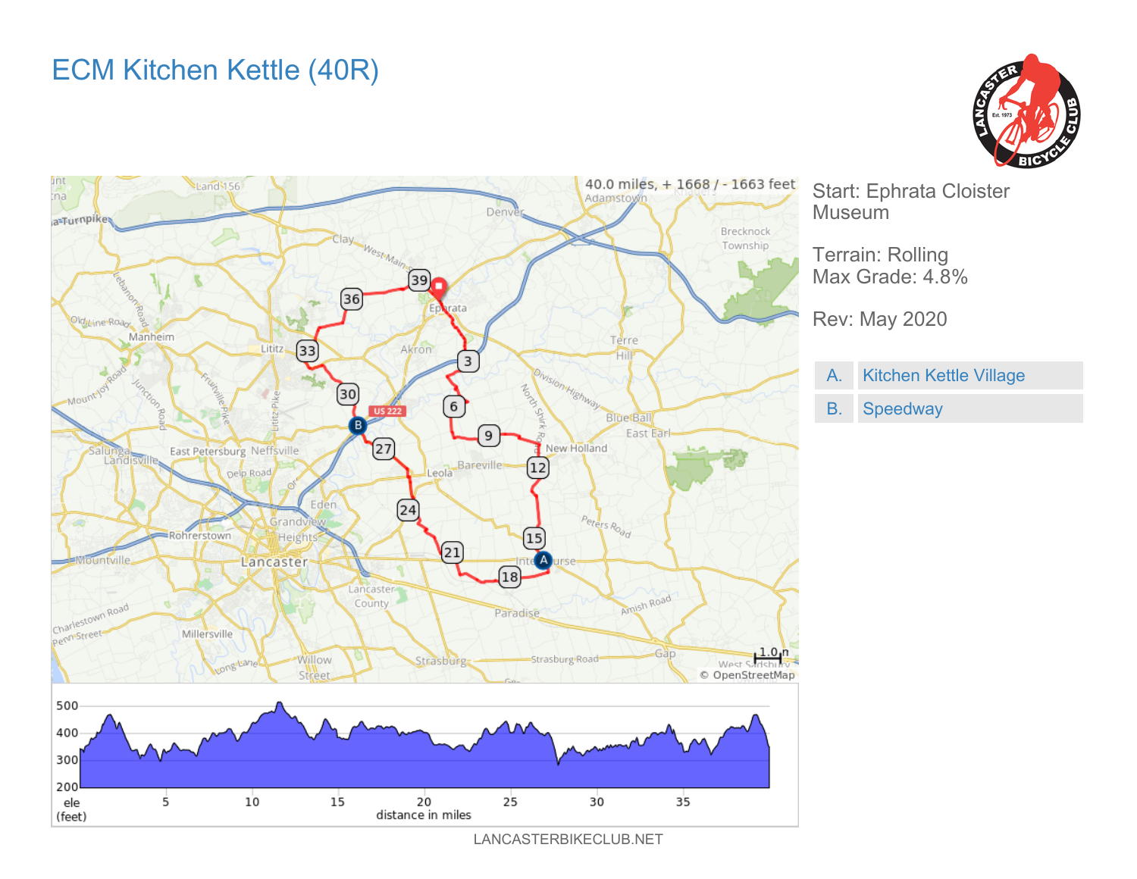## ECM Kitchen Kettle (40R)